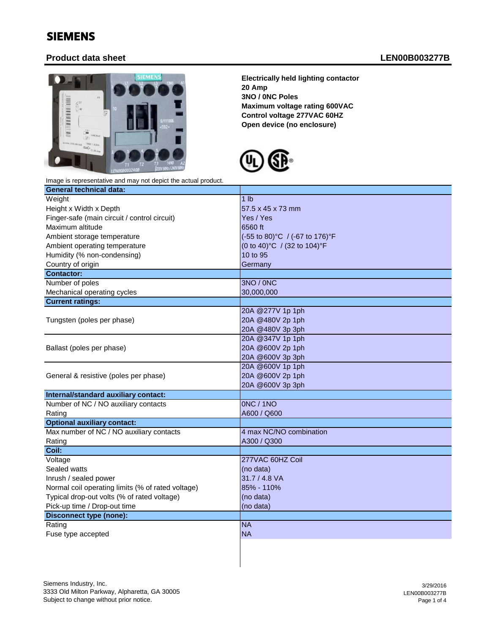## SIEMENS

## **Product data sheet LEN00B003277B**



**Electrically held lighting contactor 20 Amp 3NO / 0NC Poles Maximum voltage rating 600VAC Control voltage 277VAC 60HZ Open device (no enclosure)**



|  |  |  |  | Image is representative and may not depict the actual product. |  |
|--|--|--|--|----------------------------------------------------------------|--|
|--|--|--|--|----------------------------------------------------------------|--|

| <b>General technical data:</b>                    |                                |  |  |
|---------------------------------------------------|--------------------------------|--|--|
| Weight                                            | 1 <sub>lb</sub>                |  |  |
| Height x Width x Depth                            | 57.5 x 45 x 73 mm              |  |  |
| Finger-safe (main circuit / control circuit)      | Yes / Yes                      |  |  |
| Maximum altitude                                  | 6560 ft                        |  |  |
| Ambient storage temperature                       | (-55 to 80)°C / (-67 to 176)°F |  |  |
| Ambient operating temperature                     | (0 to 40)°C / (32 to 104)°F    |  |  |
| Humidity (% non-condensing)                       | 10 to 95                       |  |  |
| Country of origin                                 | Germany                        |  |  |
| <b>Contactor:</b>                                 |                                |  |  |
| Number of poles                                   | 3NO / 0NC                      |  |  |
| Mechanical operating cycles                       | 30,000,000                     |  |  |
| <b>Current ratings:</b>                           |                                |  |  |
|                                                   | 20A @277V 1p 1ph               |  |  |
| Tungsten (poles per phase)                        | 20A @480V 2p 1ph               |  |  |
|                                                   | 20A @480V 3p 3ph               |  |  |
|                                                   | 20A @347V 1p 1ph               |  |  |
| Ballast (poles per phase)                         | 20A @600V 2p 1ph               |  |  |
|                                                   | 20A @600V 3p 3ph               |  |  |
|                                                   | 20A @600V 1p 1ph               |  |  |
| General & resistive (poles per phase)             | 20A @600V 2p 1ph               |  |  |
|                                                   | 20A @600V 3p 3ph               |  |  |
| Internal/standard auxiliary contact:              |                                |  |  |
| Number of NC / NO auxiliary contacts              | <b>ONC / 1NO</b>               |  |  |
| Rating                                            | A600 / Q600                    |  |  |
| <b>Optional auxiliary contact:</b>                |                                |  |  |
| Max number of NC / NO auxiliary contacts          | 4 max NC/NO combination        |  |  |
| Rating                                            | A300 / Q300                    |  |  |
| Coil:                                             |                                |  |  |
| Voltage                                           | 277VAC 60HZ Coil               |  |  |
| Sealed watts                                      | (no data)                      |  |  |
| Inrush / sealed power                             | 31.7 / 4.8 VA                  |  |  |
| Normal coil operating limits (% of rated voltage) | 85% - 110%                     |  |  |
| Typical drop-out volts (% of rated voltage)       | (no data)                      |  |  |
| Pick-up time / Drop-out time                      | (no data)                      |  |  |
| <b>Disconnect type (none):</b>                    |                                |  |  |
| Rating                                            | <b>NA</b>                      |  |  |
| Fuse type accepted                                | <b>NA</b>                      |  |  |
|                                                   |                                |  |  |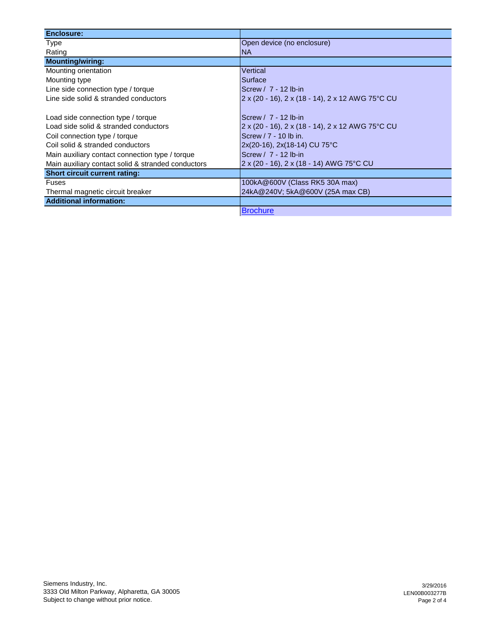| <b>Enclosure:</b>                                  |                                                  |
|----------------------------------------------------|--------------------------------------------------|
| Type                                               | Open device (no enclosure)                       |
| Rating                                             | <b>NA</b>                                        |
| <b>Mounting/wiring:</b>                            |                                                  |
| Mounting orientation                               | Vertical                                         |
| Mounting type                                      | Surface                                          |
| Line side connection type / torque                 | Screw / 7 - 12 lb-in                             |
| Line side solid & stranded conductors              | 2 x (20 - 16), 2 x (18 - 14), 2 x 12 AWG 75°C CU |
|                                                    |                                                  |
| Load side connection type / torque                 | Screw / 7 - 12 lb-in                             |
| Load side solid & stranded conductors              | 2 x (20 - 16), 2 x (18 - 14), 2 x 12 AWG 75°C CU |
| Coil connection type / torque                      | Screw $/7 - 10$ lb in.                           |
| Coil solid & stranded conductors                   | 2x(20-16), 2x(18-14) CU 75°C                     |
| Main auxiliary contact connection type / torque    | Screw / 7 - 12 lb-in                             |
| Main auxiliary contact solid & stranded conductors | 2 x (20 - 16), 2 x (18 - 14) AWG 75°C CU         |
| <b>Short circuit current rating:</b>               |                                                  |
| <b>Fuses</b>                                       | 100kA@600V (Class RK5 30A max)                   |
| Thermal magnetic circuit breaker                   | 24kA@240V; 5kA@600V (25A max CB)                 |
| <b>Additional information:</b>                     |                                                  |
|                                                    | <b>Brochure</b>                                  |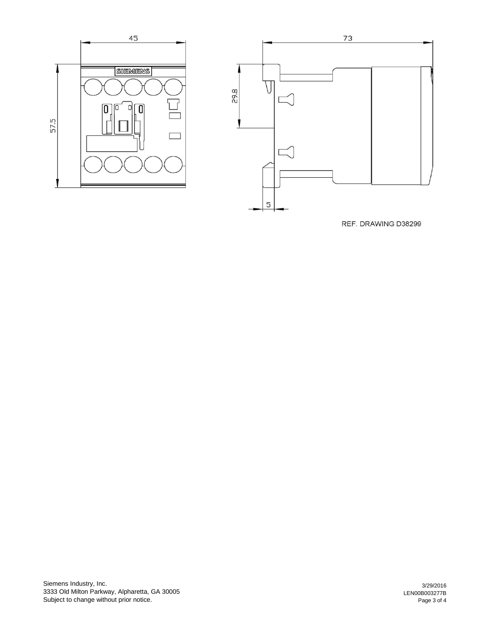



REF. DRAWING D38299